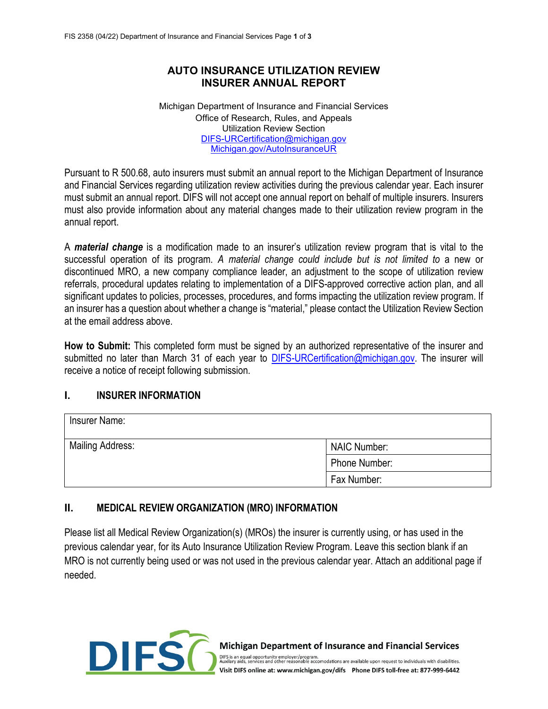## **AUTO INSURANCE UTILIZATION REVIEW INSURER ANNUAL REPORT**

Michigan Department of Insurance and Financial Services Office of Research, Rules, and Appeals Utilization Review Section [DIFS-URCertification@michigan.gov](mailto:DIFS-URCertification@michigan.gov) [Michigan.gov/AutoInsuranceUR](https://www.michigan.gov/AutoInsuranceUR)

Pursuant to R 500.68, auto insurers must submit an annual report to the Michigan Department of Insurance and Financial Services regarding utilization review activities during the previous calendar year. Each insurer must submit an annual report. DIFS will not accept one annual report on behalf of multiple insurers. Insurers must also provide information about any material changes made to their utilization review program in the annual report.

A *material change* is a modification made to an insurer's utilization review program that is vital to the successful operation of its program. *A material change could include but is not limited to* a new or discontinued MRO, a new company compliance leader, an adjustment to the scope of utilization review referrals, procedural updates relating to implementation of a DIFS-approved corrective action plan, and all significant updates to policies, processes, procedures, and forms impacting the utilization review program. If an insurer has a question about whether a change is "material," please contact the Utilization Review Section at the email address above.

**How to Submit:** This completed form must be signed by an authorized representative of the insurer and submitted no later than March 31 of each year to **DIFS-URCertification@michigan.gov**. The insurer will receive a notice of receipt following submission.

### **I. INSURER INFORMATION**

| Insurer Name:           |                     |
|-------------------------|---------------------|
| <b>Mailing Address:</b> | <b>NAIC Number:</b> |
|                         | Phone Number:       |
|                         | Fax Number:         |

### **II. MEDICAL REVIEW ORGANIZATION (MRO) INFORMATION**

Please list all Medical Review Organization(s) (MROs) the insurer is currently using, or has used in the previous calendar year, for its Auto Insurance Utilization Review Program. Leave this section blank if an MRO is not currently being used or was not used in the previous calendar year. Attach an additional page if needed.



**Michigan Department of Insurance and Financial Services** 

DIFS is an equal opportunity employer/program.<br>Auxilary aids, services and other reasonable accomodations are available upon request to individuals with disabilities. Visit DIFS online at: www.michigan.gov/difs Phone DIFS toll-free at: 877-999-6442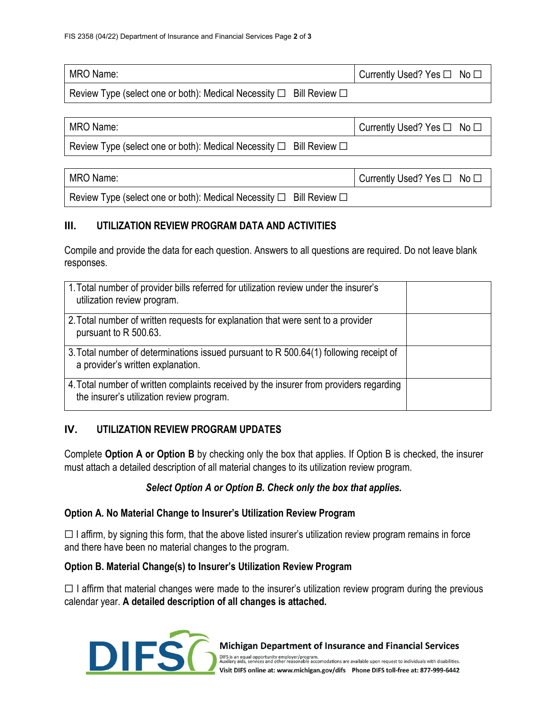| MRO Name:                                                                           | I Currently Used? Yes □ No □ |
|-------------------------------------------------------------------------------------|------------------------------|
| Review Type (select one or both): Medical Necessity $\square$ Bill Review $\square$ |                              |

| MRO Name:                                                                     | Currently Used? Yes $\Box$ No $\Box$ |  |
|-------------------------------------------------------------------------------|--------------------------------------|--|
| Review Type (select one or both): Medical Necessity $\Box$ Bill Review $\Box$ |                                      |  |
|                                                                               |                                      |  |
| MRO Name:                                                                     | Currently Used? Yes $\Box$ No $\Box$ |  |
| Review Type (select one or both): Medical Necessity $\Box$ Bill Review $\Box$ |                                      |  |

### **III. UTILIZATION REVIEW PROGRAM DATA AND ACTIVITIES**

Compile and provide the data for each question. Answers to all questions are required. Do not leave blank responses.

| 1. Total number of provider bills referred for utilization review under the insurer's<br>utilization review program.                |  |
|-------------------------------------------------------------------------------------------------------------------------------------|--|
| 2. Total number of written requests for explanation that were sent to a provider<br>pursuant to R 500.63.                           |  |
| 3. Total number of determinations issued pursuant to R 500.64(1) following receipt of<br>a provider's written explanation.          |  |
| 4. Total number of written complaints received by the insurer from providers regarding<br>the insurer's utilization review program. |  |

### **IV. UTILIZATION REVIEW PROGRAM UPDATES**

Complete **Option A or Option B** by checking only the box that applies. If Option B is checked, the insurer must attach a detailed description of all material changes to its utilization review program.

#### *Select Option A or Option B. Check only the box that applies.*

#### **Option A. No Material Change to Insurer's Utilization Review Program**

 $\Box$  I affirm, by signing this form, that the above listed insurer's utilization review program remains in force and there have been no material changes to the program.

#### **Option B. Material Change(s) to Insurer's Utilization Review Program**

 $\Box$  I affirm that material changes were made to the insurer's utilization review program during the previous calendar year. **A detailed description of all changes is attached.**